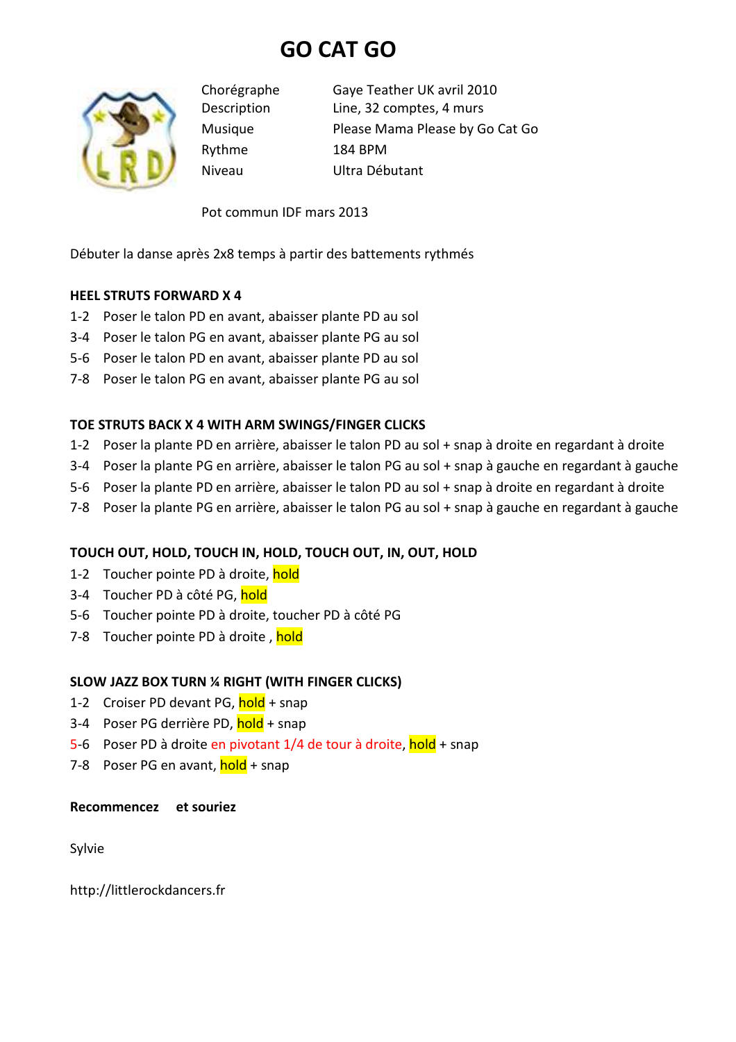# **GO CAT GO**



Rythme 184 BPM

Chorégraphe Gaye Teather UK avril 2010 Description Line, 32 comptes, 4 murs Musique Please Mama Please by Go Cat Go Niveau Ultra Débutant

Pot commun IDF mars 2013

Débuter la danse après 2x8 temps à partir des battements rythmés

### **HEEL STRUTS FORWARD X 4**

- 1-2 Poser le talon PD en avant, abaisser plante PD au sol
- 3-4 Poser le talon PG en avant, abaisser plante PG au sol
- 5-6 Poser le talon PD en avant, abaisser plante PD au sol
- 7-8 Poser le talon PG en avant, abaisser plante PG au sol

### **TOE STRUTS BACK X 4 WITH ARM SWINGS/FINGER CLICKS**

- 1-2 Poser la plante PD en arrière, abaisser le talon PD au sol + snap à droite en regardant à droite
- 3-4 Poser la plante PG en arrière, abaisser le talon PG au sol + snap à gauche en regardant à gauche
- 5-6 Poser la plante PD en arrière, abaisser le talon PD au sol + snap à droite en regardant à droite
- 7-8 Poser la plante PG en arrière, abaisser le talon PG au sol + snap à gauche en regardant à gauche

# **TOUCH OUT, HOLD, TOUCH IN, HOLD, TOUCH OUT, IN, OUT, HOLD**

- 1-2 Toucher pointe PD à droite, hold
- 3-4 Toucher PD à côté PG, hold
- 5-6 Toucher pointe PD à droite, toucher PD à côté PG
- 7-8 Toucher pointe PD à droite, hold

# **SLOW JAZZ BOX TURN ¼ RIGHT (WITH FINGER CLICKS)**

- 1-2 Croiser PD devant PG, hold + snap
- 3-4 Poser PG derrière PD, hold + snap
- 5-6 Poser PD à droite en pivotant 1/4 de tour à droite, hold + snap
- 7-8 Poser PG en avant, hold + snap

#### **Recommencez et souriez**

Sylvie

http://littlerockdancers.fr